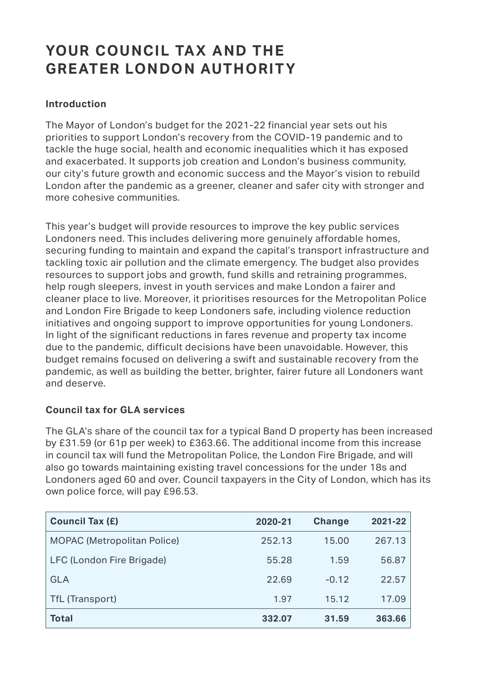# YOUR COUNCIL TAX AND THE **GREATER LONDON AUTHORITY**

# **Introduction**

more cohesive communities. The Mayor of London's budget for the 2021-22 financial year sets out his priorities to support London's recovery from the COVID-19 pandemic and to tackle the huge social, health and economic inequalities which it has exposed and exacerbated. It supports job creation and London's business community, our city's future growth and economic success and the Mayor's vision to rebuild London after the pandemic as a greener, cleaner and safer city with stronger and

This year's budget will provide resources to improve the key public services Londoners need. This includes delivering more genuinely affordable homes, securing funding to maintain and expand the capital's transport infrastructure and tackling toxic air pollution and the climate emergency. The budget also provides resources to support jobs and growth, fund skills and retraining programmes, help rough sleepers, invest in youth services and make London a fairer and cleaner place to live. Moreover, it prioritises resources for the Metropolitan Police and London Fire Brigade to keep Londoners safe, including violence reduction initiatives and ongoing support to improve opportunities for young Londoners. In light of the significant reductions in fares revenue and property tax income due to the pandemic, difficult decisions have been unavoidable. However, this budget remains focused on delivering a swift and sustainable recovery from the pandemic, as well as building the better, brighter, fairer future all Londoners want and deserve.

## **Council tax for GLA services**

The GLA's share of the council tax for a typical Band D property has been increased by £31.59 (or 61p per week) to £363.66. The additional income from this increase in council tax will fund the Metropolitan Police, the London Fire Brigade, and will also go towards maintaining existing travel concessions for the under 18s and Londoners aged 60 and over. Council taxpayers in the City of London, which has its own police force, will pay £96.53.

| <b>Council Tax (£)</b>             | 2020-21 | <b>Change</b> | 2021-22 |
|------------------------------------|---------|---------------|---------|
| <b>MOPAC (Metropolitan Police)</b> | 252.13  | 15.00         | 267.13  |
| LFC (London Fire Brigade)          | 55.28   | 1.59          | 56.87   |
| <b>GLA</b>                         | 22.69   | $-0.12$       | 22.57   |
| <b>TfL (Transport)</b>             | 1.97    | 15.12         | 17.09   |
| <b>Total</b>                       | 332.07  | 31.59         | 363.66  |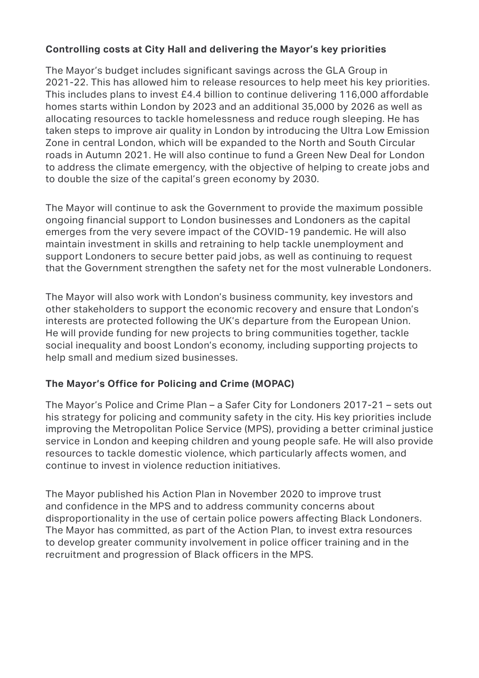## **Controlling costs at City Hall and delivering the Mayor's key priorities**

The Mayor's budget includes significant savings across the GLA Group in 2021-22. This has allowed him to release resources to help meet his key priorities. This includes plans to invest £4.4 billion to continue delivering 116,000 affordable homes starts within London by 2023 and an additional 35,000 by 2026 as well as allocating resources to tackle homelessness and reduce rough sleeping. He has taken steps to improve air quality in London by introducing the Ultra Low Emission Zone in central London, which will be expanded to the North and South Circular roads in Autumn 2021. He will also continue to fund a Green New Deal for London to address the climate emergency, with the objective of helping to create jobs and to double the size of the capital's green economy by 2030.

The Mayor will continue to ask the Government to provide the maximum possible ongoing financial support to London businesses and Londoners as the capital emerges from the very severe impact of the COVID-19 pandemic. He will also maintain investment in skills and retraining to help tackle unemployment and support Londoners to secure better paid jobs, as well as continuing to request that the Government strengthen the safety net for the most vulnerable Londoners.

The Mayor will also work with London's business community, key investors and other stakeholders to support the economic recovery and ensure that London's interests are protected following the UK's departure from the European Union. He will provide funding for new projects to bring communities together, tackle social inequality and boost London's economy, including supporting projects to help small and medium sized businesses.

## **The Mayor's Office for Policing and Crime (MOPAC)**

The Mayor's Police and Crime Plan – a Safer City for Londoners 2017-21 – sets out his strategy for policing and community safety in the city. His key priorities include improving the Metropolitan Police Service (MPS), providing a better criminal justice service in London and keeping children and young people safe. He will also provide resources to tackle domestic violence, which particularly affects women, and continue to invest in violence reduction initiatives.

disproportionality in the use of certain police powers affecting Black Londoners. The Mayor published his Action Plan in November 2020 to improve trust and confidence in the MPS and to address community concerns about The Mayor has committed, as part of the Action Plan, to invest extra resources. to develop greater community involvement in police officer training and in the recruitment and progression of Black officers in the MPS.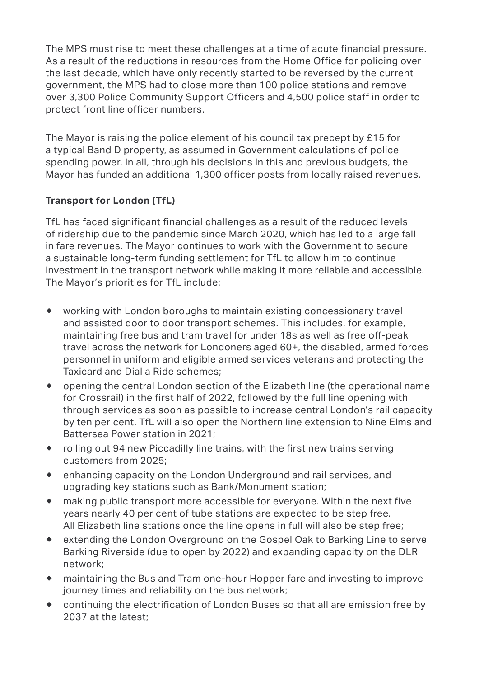The MPS must rise to meet these challenges at a time of acute financial pressure. As a result of the reductions in resources from the Home Office for policing over the last decade, which have only recently started to be reversed by the current government, the MPS had to close more than 100 police stations and remove over 3,300 Police Community Support Officers and 4,500 police staff in order to protect front line officer numbers.

 Mayor has funded an additional 1,300 officer posts from locally raised revenues. The Mayor is raising the police element of his council tax precept by £15 for a typical Band D property, as assumed in Government calculations of police spending power. In all, through his decisions in this and previous budgets, the

# **Transport for London (TfL)**

TfL has faced significant financial challenges as a result of the reduced levels of ridership due to the pandemic since March 2020, which has led to a large fall in fare revenues. The Mayor continues to work with the Government to secure a sustainable long-term funding settlement for TfL to allow him to continue investment in the transport network while making it more reliable and accessible. The Mayor's priorities for TfL include:

- ® working with London boroughs to maintain existing concessionary travel and assisted door to door transport schemes. This includes, for example, maintaining free bus and tram travel for under 18s as well as free off-peak travel across the network for Londoners aged 60+, the disabled, armed forces personnel in uniform and eligible armed services veterans and protecting the Taxicard and Dial a Ride schemes;
- ® opening the central London section of the Elizabeth line (the operational name for Crossrail) in the first half of 2022, followed by the full line opening with through services as soon as possible to increase central London's rail capacity by ten per cent. TfL will also open the Northern line extension to Nine Elms and Battersea Power station in 2021;
- ® rolling out 94 new Piccadilly line trains, with the first new trains serving customers from 2025;
- ® enhancing capacity on the London Underground and rail services, and upgrading key stations such as Bank/Monument station;
- $\bullet$  making public transport more accessible for everyone. Within the next five years nearly 40 per cent of tube stations are expected to be step free. All Elizabeth line stations once the line opens in full will also be step free;
- ® extending the London Overground on the Gospel Oak to Barking Line to serve Barking Riverside (due to open by 2022) and expanding capacity on the DLR network;
- ® maintaining the Bus and Tram one-hour Hopper fare and investing to improve journey times and reliability on the bus network;
- ® continuing the electrification of London Buses so that all are emission free by 2037 at the latest;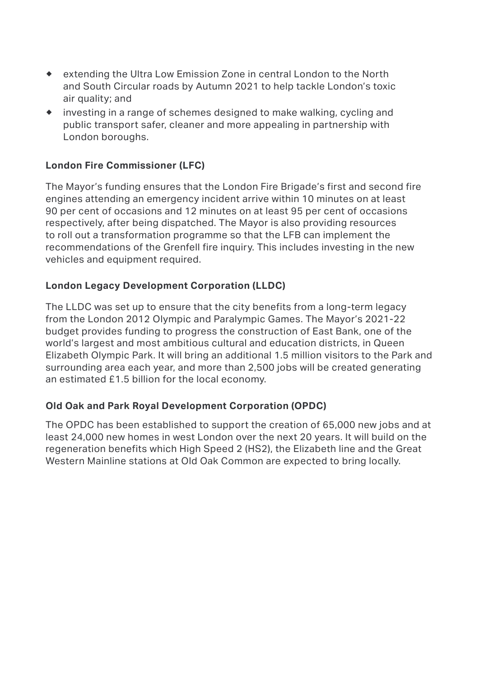- ® extending the Ultra Low Emission Zone in central London to the North and South Circular roads by Autumn 2021 to help tackle London's toxic air quality; and
- $\bullet$  investing in a range of schemes designed to make walking, cycling and public transport safer, cleaner and more appealing in partnership with London boroughs.

## **London Fire Commissioner (LFC)**

The Mayor's funding ensures that the London Fire Brigade's first and second fire engines attending an emergency incident arrive within 10 minutes on at least 90 per cent of occasions and 12 minutes on at least 95 per cent of occasions respectively, after being dispatched. The Mayor is also providing resources to roll out a transformation programme so that the LFB can implement the recommendations of the Grenfell fire inquiry. This includes investing in the new vehicles and equipment required.

#### **London Legacy Development Corporation (LLDC)**

The LLDC was set up to ensure that the city benefits from a long-term legacy from the London 2012 Olympic and Paralympic Games. The Mayor's 2021-22 budget provides funding to progress the construction of East Bank, one of the world's largest and most ambitious cultural and education districts, in Queen Elizabeth Olympic Park. It will bring an additional 1.5 million visitors to the Park and surrounding area each year, and more than 2,500 jobs will be created generating an estimated £1.5 billion for the local economy.

## **Old Oak and Park Royal Development Corporation (OPDC)**

The OPDC has been established to support the creation of 65,000 new jobs and at least 24,000 new homes in west London over the next 20 years. It will build on the regeneration benefits which High Speed 2 (HS2), the Elizabeth line and the Great Western Mainline stations at Old Oak Common are expected to bring locally.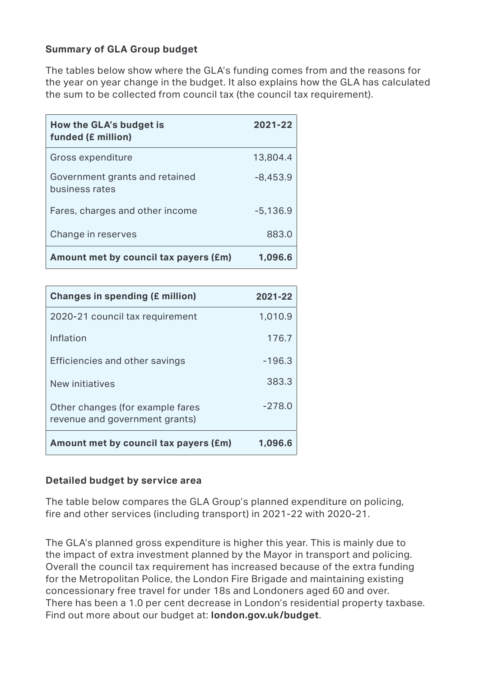#### **Summary of GLA Group budget**

The tables below show where the GLA's funding comes from and the reasons for the year on year change in the budget. It also explains how the GLA has calculated the sum to be collected from council tax (the council tax requirement).

| How the GLA's budget is<br>funded (£ million)    | 2021-22    |
|--------------------------------------------------|------------|
| Gross expenditure                                | 13,804.4   |
| Government grants and retained<br>business rates | $-8,453.9$ |
| Fares, charges and other income                  | $-5,136.9$ |
| Change in reserves                               | 883.0      |
| Amount met by council tax payers (£m)            | 1,096.6    |

| <b>Changes in spending (£ million)</b>                             | 2021-22  |
|--------------------------------------------------------------------|----------|
| 2020-21 council tax requirement                                    | 1,010.9  |
| Inflation                                                          | 176.7    |
| Efficiencies and other savings                                     | $-196.3$ |
| New initiatives                                                    | 383.3    |
| Other changes (for example fares<br>revenue and government grants) | $-278.0$ |
| Amount met by council tax payers (£m)                              | 1,096.6  |

#### **Detailed budget by service area**

The table below compares the GLA Group's planned expenditure on policing, fire and other services (including transport) in 2021-22 with 2020-21.

The GLA's planned gross expenditure is higher this year. This is mainly due to the impact of extra investment planned by the Mayor in transport and policing. Overall the council tax requirement has increased because of the extra funding for the Metropolitan Police, the London Fire Brigade and maintaining existing concessionary free travel for under 18s and Londoners aged 60 and over. There has been a 1.0 per cent decrease in London's residential property taxbase. Find out more about our budget at: **london.gov.uk/budget**.